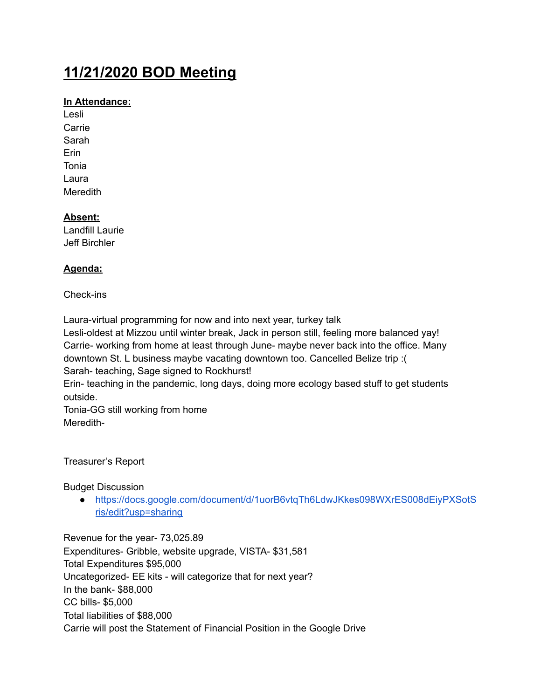# **11/21/2020 BOD Meeting**

## **In Attendance:**

Lesli **Carrie** Sarah Erin Tonia Laura **Meredith** 

## **Absent:**

Landfill Laurie Jeff Birchler

## **Agenda:**

### Check-ins

Laura-virtual programming for now and into next year, turkey talk

Lesli-oldest at Mizzou until winter break, Jack in person still, feeling more balanced yay! Carrie- working from home at least through June- maybe never back into the office. Many downtown St. L business maybe vacating downtown too. Cancelled Belize trip :( Sarah- teaching, Sage signed to Rockhurst!

Erin- teaching in the pandemic, long days, doing more ecology based stuff to get students outside.

Tonia-GG still working from home Meredith-

Treasurer's Report

Budget Discussion

● [https://docs.google.com/document/d/1uorB6vtqTh6LdwJKkes098WXrES008dEiyPXSotS](https://docs.google.com/document/d/1uorB6vtqTh6LdwJKkes098WXrES008dEiyPXSotSris/edit?usp=sharing) [ris/edit?usp=sharing](https://docs.google.com/document/d/1uorB6vtqTh6LdwJKkes098WXrES008dEiyPXSotSris/edit?usp=sharing)

Revenue for the year- 73,025.89 Expenditures- Gribble, website upgrade, VISTA- \$31,581 Total Expenditures \$95,000 Uncategorized- EE kits - will categorize that for next year? In the bank- \$88,000 CC bills- \$5,000 Total liabilities of \$88,000 Carrie will post the Statement of Financial Position in the Google Drive